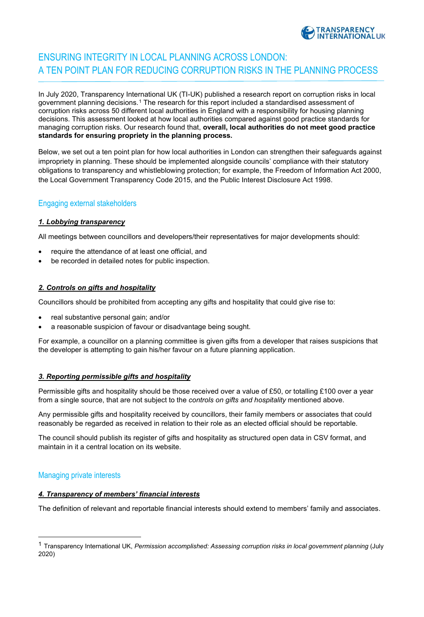

# ENSURING INTEGRITY IN LOCAL PLANNING ACROSS LONDON: A TEN POINT PLAN FOR REDUCING CORRUPTION RISKS IN THE PLANNING PROCESS

In July 2020, Transparency International UK (TI-UK) published a research report on corruption risks in local government planning decisions.[1](#page-0-0) The research for this report included a standardised assessment of corruption risks across 50 different local authorities in England with a responsibility for housing planning decisions. This assessment looked at how local authorities compared against good practice standards for managing corruption risks. Our research found that, **overall, local authorities do not meet good practice standards for ensuring propriety in the planning process.**

Below, we set out a ten point plan for how local authorities in London can strengthen their safeguards against impropriety in planning. These should be implemented alongside councils' compliance with their statutory obligations to transparency and whistleblowing protection; for example, the Freedom of Information Act 2000, the Local Government Transparency Code 2015, and the Public Interest Disclosure Act 1998.

# Engaging external stakeholders

# *1. Lobbying transparency*

All meetings between councillors and developers/their representatives for major developments should:

- require the attendance of at least one official, and
- be recorded in detailed notes for public inspection.

#### *2. Controls on gifts and hospitality*

Councillors should be prohibited from accepting any gifts and hospitality that could give rise to:

- real substantive personal gain; and/or
- a reasonable suspicion of favour or disadvantage being sought.

For example, a councillor on a planning committee is given gifts from a developer that raises suspicions that the developer is attempting to gain his/her favour on a future planning application.

# *3. Reporting permissible gifts and hospitality*

Permissible gifts and hospitality should be those received over a value of £50, or totalling £100 over a year from a single source, that are not subject to the *controls on gifts and hospitality* mentioned above.

Any permissible gifts and hospitality received by councillors, their family members or associates that could reasonably be regarded as received in relation to their role as an elected official should be reportable.

The council should publish its register of gifts and hospitality as structured open data in CSV format, and maintain in it a central location on its website.

# Managing private interests

### *4. Transparency of members' financial interests*

The definition of relevant and reportable financial interests should extend to members' family and associates.

<span id="page-0-0"></span><sup>1</sup> Transparency International UK, *Permission accomplished: Assessing corruption risks in local government planning* (July 2020)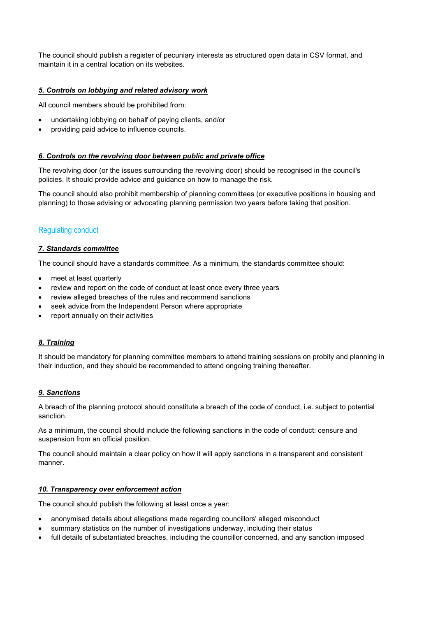The council should publish a register of pecuniary interests as structured open data in CSV format, and maintain it in a central location on its websites.

# *5. Controls on lobbying and related advisory work*

All council members should be prohibited from:

- undertaking lobbying on behalf of paying clients, and/or
- providing paid advice to influence councils.

#### *6. Controls on the revolving door between public and private office*

The revolving door (or the issues surrounding the revolving door) should be recognised in the council's policies. It should provide advice and guidance on how to manage the risk.

The council should also prohibit membership of planning committees (or executive positions in housing and planning) to those advising or advocating planning permission two years before taking that position.

# Regulating conduct

#### *7. Standards committee*

The council should have a standards committee. As a minimum, the standards committee should:

- meet at least quarterly
- review and report on the code of conduct at least once every three years
- review alleged breaches of the rules and recommend sanctions
- seek advice from the Independent Person where appropriate
- report annually on their activities

# *8. Training*

It should be mandatory for planning committee members to attend training sessions on probity and planning in their induction, and they should be recommended to attend ongoing training thereafter.

# *9. Sanctions*

A breach of the planning protocol should constitute a breach of the code of conduct, i.e. subject to potential sanction.

As a minimum, the council should include the following sanctions in the code of conduct: censure and suspension from an official position.

The council should maintain a clear policy on how it will apply sanctions in a transparent and consistent manner.

#### *10. Transparency over enforcement action*

The council should publish the following at least once a year:

- anonymised details about allegations made regarding councillors' alleged misconduct
- summary statistics on the number of investigations underway, including their status
- full details of substantiated breaches, including the councillor concerned, and any sanction imposed